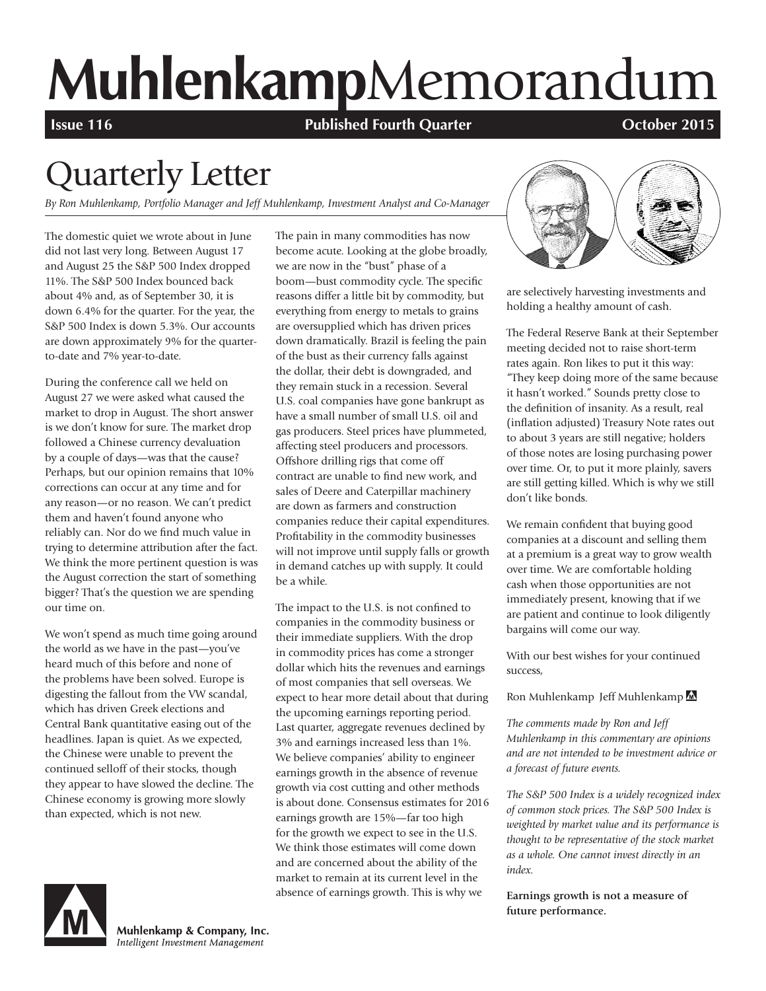# **Muhlenkamp**Memorandum

**Issue 116 Published Fourth Quarter COLOGET 2015** 

## Quarterly Letter

*By Ron Muhlenkamp, Portfolio Manager and Jeff Muhlenkamp, Investment Analyst and Co-Manager*

The domestic quiet we wrote about in June did not last very long. Between August 17 and August 25 the S&P 500 Index dropped 11%. The S&P 500 Index bounced back about 4% and, as of September 30, it is down 6.4% for the quarter. For the year, the S&P 500 Index is down 5.3%. Our accounts are down approximately 9% for the quarterto-date and 7% year-to-date.

During the conference call we held on August 27 we were asked what caused the market to drop in August. The short answer is we don't know for sure. The market drop followed a Chinese currency devaluation by a couple of days—was that the cause? Perhaps, but our opinion remains that 10% corrections can occur at any time and for any reason—or no reason. We can't predict them and haven't found anyone who reliably can. Nor do we find much value in trying to determine attribution after the fact. We think the more pertinent question is was the August correction the start of something bigger? That's the question we are spending our time on.

We won't spend as much time going around the world as we have in the past—you've heard much of this before and none of the problems have been solved. Europe is digesting the fallout from the VW scandal, which has driven Greek elections and Central Bank quantitative easing out of the headlines. Japan is quiet. As we expected, the Chinese were unable to prevent the continued selloff of their stocks, though they appear to have slowed the decline. The Chinese economy is growing more slowly than expected, which is not new.

The pain in many commodities has now become acute. Looking at the globe broadly, we are now in the "bust" phase of a boom—bust commodity cycle. The specific reasons differ a little bit by commodity, but everything from energy to metals to grains are oversupplied which has driven prices down dramatically. Brazil is feeling the pain of the bust as their currency falls against the dollar, their debt is downgraded, and they remain stuck in a recession. Several U.S. coal companies have gone bankrupt as have a small number of small U.S. oil and gas producers. Steel prices have plummeted, affecting steel producers and processors. Offshore drilling rigs that come off contract are unable to find new work, and sales of Deere and Caterpillar machinery are down as farmers and construction companies reduce their capital expenditures. Profitability in the commodity businesses will not improve until supply falls or growth in demand catches up with supply. It could be a while.

The impact to the U.S. is not confined to companies in the commodity business or their immediate suppliers. With the drop in commodity prices has come a stronger dollar which hits the revenues and earnings of most companies that sell overseas. We expect to hear more detail about that during the upcoming earnings reporting period. Last quarter, aggregate revenues declined by 3% and earnings increased less than 1%. We believe companies' ability to engineer earnings growth in the absence of revenue growth via cost cutting and other methods is about done. Consensus estimates for 2016 earnings growth are 15%—far too high for the growth we expect to see in the U.S. We think those estimates will come down and are concerned about the ability of the market to remain at its current level in the absence of earnings growth. This is why we



are selectively harvesting investments and holding a healthy amount of cash.

The Federal Reserve Bank at their September meeting decided not to raise short-term rates again. Ron likes to put it this way: "They keep doing more of the same because it hasn't worked." Sounds pretty close to the definition of insanity. As a result, real (inflation adjusted) Treasury Note rates out to about 3 years are still negative; holders of those notes are losing purchasing power over time. Or, to put it more plainly, savers are still getting killed. Which is why we still don't like bonds.

We remain confident that buying good companies at a discount and selling them at a premium is a great way to grow wealth over time. We are comfortable holding cash when those opportunities are not immediately present, knowing that if we are patient and continue to look diligently bargains will come our way.

With our best wishes for your continued success,

Ron Muhlenkamp Jeff Muhlenkamp

*The comments made by Ron and Jeff Muhlenkamp in this commentary are opinions and are not intended to be investment advice or a forecast of future events.*

*The S&P 500 Index is a widely recognized index of common stock prices. The S&P 500 Index is weighted by market value and its performance is thought to be representative of the stock market as a whole. One cannot invest directly in an index.*

**Earnings growth is not a measure of future performance.**



Muhlenkamp & Company, Inc. Intelligent Investment Management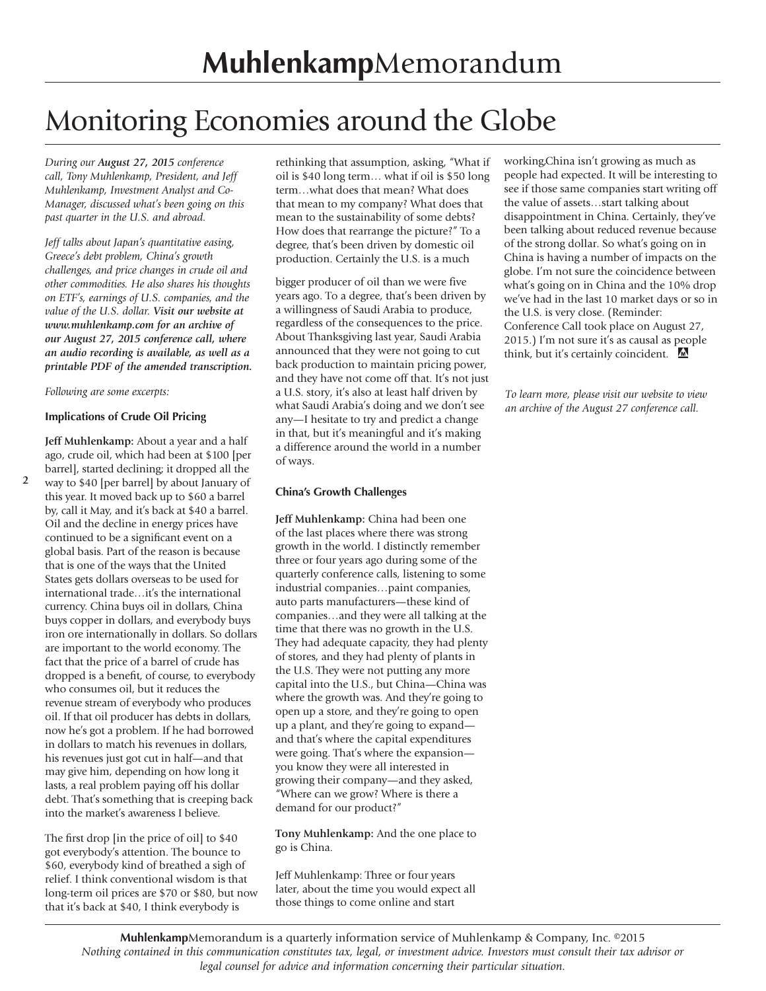### Monitoring Economies around the Globe

*During our August 27, 2015 conference call, Tony Muhlenkamp, President, and Jeff Muhlenkamp, Investment Analyst and Co-Manager, discussed what's been going on this past quarter in the U.S. and abroad.*

*Jeff talks about Japan's quantitative easing, Greece's debt problem, China's growth challenges, and price changes in crude oil and other commodities. He also shares his thoughts on ETF's, earnings of U.S. companies, and the value of the U.S. dollar. Visit our website at www.muhlenkamp.com for an archive of our August 27, 2015 conference call, where an audio recording is available, as well as a printable PDF of the amended transcription.* 

#### *Following are some excerpts:*

#### **Implications of Crude Oil Pricing**

**Jeff Muhlenkamp:** About a year and a half ago, crude oil, which had been at \$100 [per barrel], started declining; it dropped all the

**2** way to \$40 [per barrel] by about January of this year. It moved back up to \$60 a barrel by, call it May, and it's back at \$40 a barrel. Oil and the decline in energy prices have continued to be a significant event on a global basis. Part of the reason is because that is one of the ways that the United States gets dollars overseas to be used for international trade…it's the international currency. China buys oil in dollars, China buys copper in dollars, and everybody buys iron ore internationally in dollars. So dollars are important to the world economy. The fact that the price of a barrel of crude has dropped is a benefit, of course, to everybody who consumes oil, but it reduces the revenue stream of everybody who produces oil. If that oil producer has debts in dollars, now he's got a problem. If he had borrowed in dollars to match his revenues in dollars, his revenues just got cut in half—and that may give him, depending on how long it lasts, a real problem paying off his dollar debt. That's something that is creeping back into the market's awareness I believe.

The first drop [in the price of oil] to \$40 got everybody's attention. The bounce to \$60, everybody kind of breathed a sigh of relief. I think conventional wisdom is that long-term oil prices are \$70 or \$80, but now that it's back at \$40, I think everybody is

rethinking that assumption, asking, "What if oil is \$40 long term… what if oil is \$50 long term…what does that mean? What does that mean to my company? What does that mean to the sustainability of some debts? How does that rearrange the picture?" To a degree, that's been driven by domestic oil production. Certainly the U.S. is a much

bigger producer of oil than we were five years ago. To a degree, that's been driven by a willingness of Saudi Arabia to produce, regardless of the consequences to the price. About Thanksgiving last year, Saudi Arabia announced that they were not going to cut back production to maintain pricing power, and they have not come off that. It's not just a U.S. story, it's also at least half driven by what Saudi Arabia's doing and we don't see any—I hesitate to try and predict a change in that, but it's meaningful and it's making a difference around the world in a number of ways.

#### **China's Growth Challenges**

**Jeff Muhlenkamp:** China had been one of the last places where there was strong growth in the world. I distinctly remember three or four years ago during some of the quarterly conference calls, listening to some industrial companies…paint companies, auto parts manufacturers—these kind of companies…and they were all talking at the time that there was no growth in the U.S. They had adequate capacity, they had plenty of stores, and they had plenty of plants in the U.S. They were not putting any more capital into the U.S., but China—China was where the growth was. And they're going to open up a store, and they're going to open up a plant, and they're going to expand and that's where the capital expenditures were going. That's where the expansion you know they were all interested in growing their company—and they asked, "Where can we grow? Where is there a demand for our product?"

**Tony Muhlenkamp:** And the one place to go is China.

Jeff Muhlenkamp: Three or four years later, about the time you would expect all those things to come online and start

working,China isn't growing as much as people had expected. It will be interesting to see if those same companies start writing off the value of assets…start talking about disappointment in China. Certainly, they've been talking about reduced revenue because of the strong dollar. So what's going on in China is having a number of impacts on the globe. I'm not sure the coincidence between what's going on in China and the 10% drop we've had in the last 10 market days or so in the U.S. is very close. (Reminder: Conference Call took place on August 27, 2015.) I'm not sure it's as causal as people think, but it's certainly coincident.

*To learn more, please visit our website to view an archive of the August 27 conference call.*